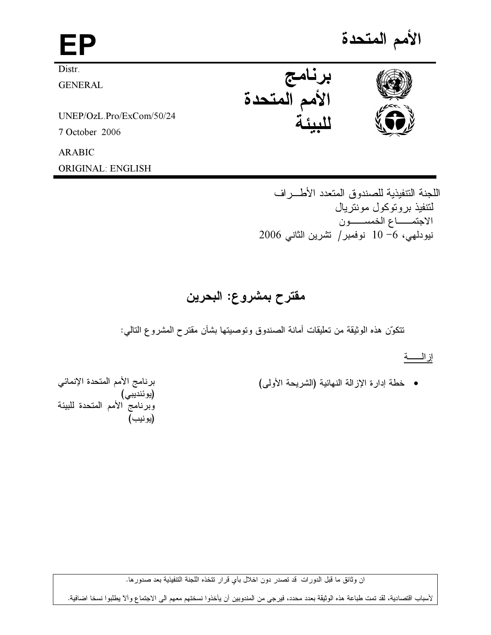| EP                       |                     | الأمم المتحدة |
|--------------------------|---------------------|---------------|
| Distr.                   | برنامج              |               |
| <b>GENERAL</b>           | .ر<br>الأمم المتحدة |               |
| UNEP/OzL.Pro/ExCom/50/24 |                     |               |
| 7 October 2006           |                     |               |
| <b>ARABIC</b>            |                     |               |
| <b>ORIGINAL: ENGLISH</b> |                     |               |

اللجنة التتفيذية للصندوق المتعدد الأطـــر اف لتتفيذ بروتوكول مونتريال الاجتمـــاع الخمســــون نيودلمي، 6– 10 نوفمبر/ نشرين الثاني 2006

# مقترح بمشروع: البحرين

تتكوَّن هذه الوثيقة من تعليقات أمانة الصندوق وتوصيتها بشأن مقترح المشروع التالمي:

إزالــــــــة

• خطة إدارة الإزالة النهائية (الشريحة الأولى)

برنامج الأمم المتحدة الإنمائي (يوئنديبي)<br>(يوئنديبي)<br>وبرنامج الأمم المتحدة للبيئة<br>(يونيب)

ان وثائق ما قبل الدورات قد تصدر دون اخلال بأي قرار تتخذه اللجنة التتفيذية بعد صدورها.

لأسباب اقتصادية، لقد تمت طباعة هذه الوثيقة بعدد محدد، فيرجى من المندوبين أن يأخذوا نسختهم معهم الى الاجتماع وألآ يطلبوا نسخا اضافية.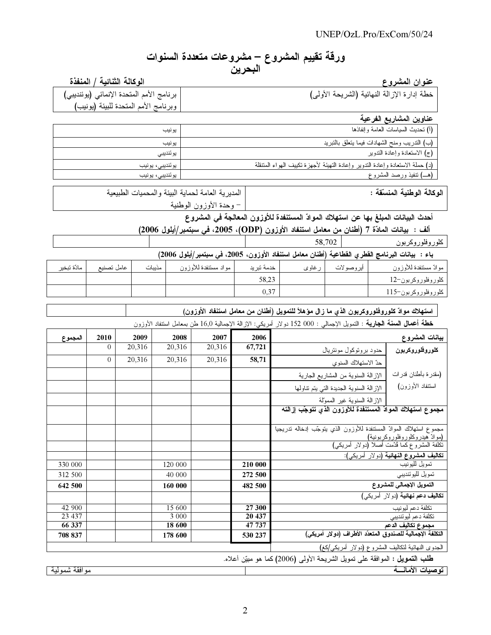## ورقة تقييم المشروع – مشروعات متعددة السنوات البحرين

و ع عنوان المشر

الوكالة الثنائية / المنفذة

| بر نامج الأمم المتحدة الإنمائي (يوئنديبي) | خطة إدارة الإزالة النهائية (الشريحة الأولى) |
|-------------------------------------------|---------------------------------------------|
| وبرنامج الأمم المتحدة للبيئة (يونيب)      |                                             |

عناوين المشاريع الفرعية

|                 | .<br>$ -$                                                                     |
|-----------------|-------------------------------------------------------------------------------|
| يونيب           | (أ) نحديث السياسات العامة وإنفاذها                                            |
| يو نيب          | (ب) الندريب ومنح الشهادات فيما ينعلق بالنبريد                                 |
| يوئنديبي        | (ج) الاستعادة وإعادة الندوير                                                  |
| يوئنديبي، يونيب | (د) حملة الاستعادة وإعادة التدوير وإعادة التهيئة لأجهزة تكييف الهواء المتنقلة |
| يوئنديبي، يونيب | (هـــ) نتفيذ ورصد المشروع                                                     |

: - 

لمديرية العامة لحماية البيئة والمحميات الطبيعية – وحدة الأوزون الوطنية

أحدث البيانات المبلغ بها عن استهلاك الموادّ المستنفدة للأوزون المعالجة في المشروع

ألف : بيانات المادّة 7 (أطنان من معامل استنفاد الأوزون (ODP)، 2005، في سبتمبر/أيلول 2006)

كلوروفلوروكربون 58,702

باء : بيانات البرنامج الفطري الفطاعية (أطنان معامل استنفاد الأوزون، 2005، في سبتمبر/أيلول 2006)

|             |            |        |                      | ----        |        |           | --<br>--              |
|-------------|------------|--------|----------------------|-------------|--------|-----------|-----------------------|
| مادّة تبخير | عامل تصنبع | مذيبات | مواد مسنتفدة للأوزون | خدمة تبريد  | ر غاوی | أيروصولات | موادّ مسنتفدة للأوزون |
|             |            |        |                      | 58,23       |        |           | ∣ كلوروفلوروكربون−12  |
|             |            |        |                      | 0.27<br>U.J |        |           | كلوروفلوروكربون–115   |

#### l استهلاك موادّ كلوروفلوروكربون الذي ما زال مؤهلاً للتمويل (أطنان من معامل استنفاد الأوزون)

خطة أ**عمال السنة الجارية** : التمويل الإجمالي : 000 152 دولار أمريكي: الإزالة الإجمالية 16٫0 طن بمعامل استنفاد الأوزون

| المجموع       | 2010           | 2009   | 2008    | 2007   | 2006                                                       |                                                                                  | بيانات المشروع                                 |
|---------------|----------------|--------|---------|--------|------------------------------------------------------------|----------------------------------------------------------------------------------|------------------------------------------------|
|               | $\theta$       | 20,316 | 20,316  | 20,316 | 67,721                                                     | حدود برونوكول موننزيال                                                           | كلوروفلوروكربون                                |
|               | $\overline{0}$ | 20,316 | 20,316  | 20,316 | 58,71                                                      | حدّ الاستهلاك السنوي                                                             |                                                |
|               |                |        |         |        |                                                            | الإزالة السنوية من المشاريع الجارية                                              | (مقدرة بأطنان قدرات                            |
|               |                |        |         |        |                                                            | الإزالة السنوية الجديدة التي يتم نتاولها                                         | استنفاد الأوزون)                               |
|               |                |        |         |        |                                                            | الإزالة السنوية غير الممولة                                                      |                                                |
|               |                |        |         |        |                                                            | مجموع استهلاك الموادّ المستنفدة للأوزون الذي تتوجّب إزالته                       |                                                |
|               |                |        |         |        |                                                            |                                                                                  |                                                |
|               |                |        |         |        |                                                            | مجموع استهلاك الموادّ المستنفدة للأوزون الذي يتوجّب إدخاله تدريجيا               | (موادّ هيدروكلوروفلوروكربونية)                 |
|               |                |        |         |        |                                                            |                                                                                  | نكلفة المُشروع كما ڤُدّمت أصلاً (دولار أمريكي) |
|               |                |        |         |        |                                                            |                                                                                  | تكاليف المشروع النهائية (دولار أمريكي):        |
| 330 000       |                |        | 120 000 |        | 210 000                                                    |                                                                                  | تمويل لليونيب                                  |
| 312 500       |                |        | 40 000  |        | 272 500                                                    |                                                                                  | نمويل للبوئنديبي                               |
| 642 500       |                |        | 160 000 |        | 482 500                                                    |                                                                                  | التمويل الإجمالي للمشروع                       |
|               |                |        |         |        |                                                            |                                                                                  | <b>تكاليف دعم نهائية (</b> دولار أمريكي)       |
| 42 900        |                |        | 15 600  |        | 27 300                                                     |                                                                                  | تكلفة دعم لبو نبب                              |
| 23 4 37       |                |        | 3 0 0 0 |        | 20 437                                                     |                                                                                  | تكلفة دعم ليوئنديبي                            |
| 66 337        |                |        | 18 600  |        | 47 737                                                     |                                                                                  | مجموع تكاليف الدعم                             |
| 708 837       |                |        | 178 600 |        | 530 237                                                    | التكلفة الإجمالية للصندوق المتعدّد الأطراف (دولار أمريكي)                        |                                                |
|               |                |        |         |        | الجدوى النهائية لنكالي <u>ف المشروع (</u> دولار أمريكي/كغ) |                                                                                  |                                                |
|               |                |        |         |        |                                                            | <b>طلب التمويل :</b> الموافقة على نمويل الشريحة الأولى (2006)كما هو مبيّن أعلاه. |                                                |
| موافقة شمولية |                |        |         |        |                                                            |                                                                                  | توصيات الأمانسة                                |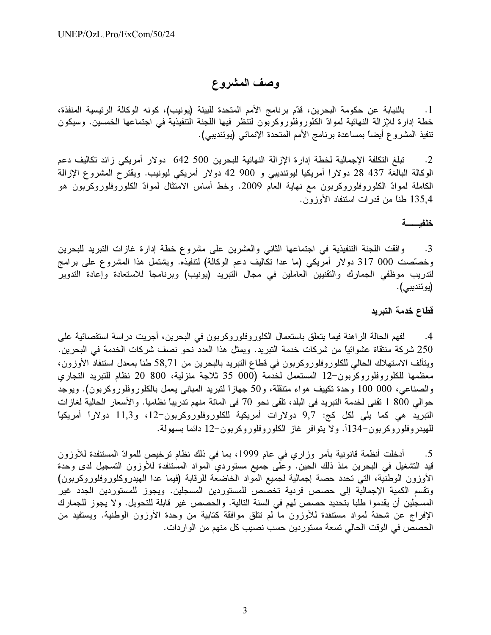# وصف المشروع

بالنيابة عن حكومة البحرين، قدّم برنامج الأمم المتحدة للبيئة (يونيب)، كونه الوكالة الرئيسية المنفذة،  $\cdot$ 1 خطة إدارة للإزالة النهائية لموادّ الكلوروفلوروكربون لتنظر فيها اللجنة التنفيذية في اجتماعها الخمسين. وسيكون تنفيذ المشروع أيضاً بمساعدة برنامج الأمم المتحدة الإنمائي (يوئنديبي).

تبلغ التكلفة الإجمالية لخطة إدارة الإزالة النهائية للبحرين 500 642 دولار أمريكي زائد تكاليف دعم  $\cdot$ .2 الوكالة البالغة 437 28 دولاراً أمريكياً ليوئنديبي و 900 42 دولار أمريكي ليونيب. ويقترح المشروع الإزالة الكاملة لموادّ الكلوروفلوروكربون مع نهاية العام 2009. وخط أساس الامتثال لموادّ الكلوروفلوروكربون هو 135٫4 طناً من قدرات استنفاد الأوزون.

### خلفيسة

وافقت اللجنة التنفيذية في اجتماعها الثاني والعشرين على مشروع خطة إدارة غازات التبريد للبحرين  $\cdot$ 3 وخصَّصت 000 317 دولار أمريكي (ما عدا تكاليف دعم الوكالة) لتتفيذه. ويشتمل هذا المشروع على برامج لتدريب موظفى الجمارك والتقنيين العاملين في مجال التبريد (يونيب) وبرنامجا للاستعادة وإعادة التدوير (يوئنديبي).

## قطاع خدمة التبريد

4. لفهم الحالة الراهنة فيما يتعلق باستعمال الكلوروفلوروكربون في البحرين، أجريت دراسة استقصائية على 250 شركة منتقاة عشوائياً من شركات خدمة التبريد. ويمثل هذا العدد نحو نصف شركات الخدمة في البحرين. ويتألف الاستهلاك الحالمي للكلوروفلوروكربون في قطاع التبريد بالبحرين من 58٫71 طناً بمعدل استنفاد الأوزون، معظمها للكلوروفلوروكربون–12 المستعمل لخدمة (000 35 ثلاجة منزلية، 800 20 نظام للتبريد التجاري والصناعي، 000 100 وحدة تكييف هواء متنقلة، و50 جهازاً لتبريد المباني يعمل بالكلوروفلوروكربون). ويوجد حوالي 800 1 نقني لخدمة التبريد في البلد، تلقى نحو 70 في المائة منهم تدريباً نظامياً. والأسعار الحالية لغازات النبريد هي كما يلي لكل كج: 9,7 دولارات أمريكية للكلوروفلوروكربون-12، و11,3 دولاراً أمريكياً للهيدروفلوروكربون-134أ. ولا يتوافر غاز الكلوروفلوروكربون-12 دائماً بسهولة.

أدخلت أنظمة قانونية بأمر وزاري في عام 1999، بما في ذلك نظام ترخيص للموادّ المستنفدة للأوزون  $.5$ قيد التشغيل في البحرين منذ ذلك الحين. وعلى جميع مستوردي المواد المستنفدة للأوزون التسجيل لدى وحدة الأوزون الوطنية، التي تحدد حصة إجمالية لجميع المواد الخاضعة للرقابة (فيما عدا الهيدروكلوروفلوروكربون) وتقسم الكمية الإجمالية إلى حصص فردية تخصص للمستوردين المسجلين. ويجوز للمستوردين الجدد غير المسجلين أن يقدموا طلبًا بتحديد حصص لهم في السنة التالية. والحصص غير قابلة للتحويل. ولا يجوز للجمارك الإفراج عن شحنة لمواد مستنفدة للأوزون ما لم تتلق موافقة كتابية من وحدة الأوزون الوطنية. ويستفيد من الحصص في الوقت الحالي تسعة مستوردين حسب نصيب كل منهم من الواردات.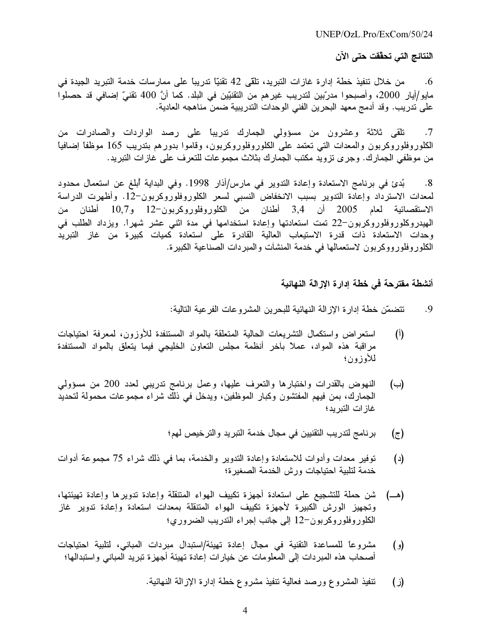UNEP/OzL.Pro/ExCom/50/24

## النتائج التي تحقّقت حتى الآن

من خلال تنفيذ خطة إدارة غازات التبريد، تلقى 42 نقنيًّا تدريباً على ممارسات خدمة التبريد الجيدة في .6 مايو/أيار 2000، وأصبحوا مدرّبين لتدريب غير هم من التقنيّين في البلد. كما أنَّ 400 تقنيّ إضـافي قد حصلوا على تدريب. وقد أدمج معهد البحرين الفني الوحدات التدريبية ضمن مناهجه العادية.

تلقى ثلاثة وعشرون من مسؤولى الجمارك تدريباً على رصد الواردات والصادرات من  $.7$ الكلوروفلوروكربون والمعدات التى تعتمد على الكلوروفلوروكربون، وقاموا بدورهم بتدريب 165 موظفاً إضافياً من موظفى الجمارك. وجرى تزويد مكتب الجمارك بثلاث مجموعات للتعرف على غازات التبريد.

بُدئ في برنامج الاستعادة وإعادة التدوير في مارس/أذار 1998. وفي البداية أبلغ عن استعمال محدود  $^{\circ}$ .8 لمعدات الاسترداد وإعادة التدوير بسبب الانخفاض النسبى لسعر الكلوروفلوروكربون–12. وأظهرت الدراسة الاستقصائية لعام 2005 أن 3,4 أطنان من الكلوروفلوروكربون–12 و10,7 أطنان من المهيدروكلوروفلوروكربون–22 تمت استعادتها وإعادة استخدامها في مدة اثني عشر شهراً. ويزداد الطلب في وحدات الاستعادة ذات قدرة الاستيعاب العالية القادرة على استعادة كميات كبيرة من غاز التبريد الكلوروفلورووكربون لاستعمالها فـي خدمة المنشأت والمبردات الصناعية الكبيرة.

## أنشطة مقترحة في خطة إدارة الإزالة النهائية

- تتضمّن خطة إدار ة الإز الة النهائية للبحرين المشر وعات الفر عية التالية: .9
- استعراض واستكمال التشريعات الحالية المتعلقة بالمواد المستنفدة للأوزون، لمعرفة احتياجات  $(1)$ مراقبة هذه المواد، عملاً بأخر أنظمة مجلس التعاون الخليجي فيما يتعلق بالمواد المستنفدة للأوز ون؛
- النهوض بالقدرات واختبارها والتعرف عليها، وعمل برنامج تدريبي لعدد 200 من مسؤولمي (ب) الجمارك، بمن فيهم المفتشون وكبار الموظفين، ويدخل في ذلك شراء مجموعات محمولة لتحديد غاز ات التبر بد؛
	- برنامج لتدريب التقنيين في مجال خدمة التبريد والترخيص لهم؛ (ج)
- توفير معدات وأدوات للاستعادة وإعادة التدوير والخدمة، بما في ذلك شراء 75 مجموعة أدوات  $(\iota)$ خدمة لتلبية احتياجات ورش الخدمة الصغيرة؛
- شن حملة للتشجيع على استعادة أجهزة تكييف الهواء المتنقلة وإعادة تدويرها وإعادة تهيئتها، (هـــ) وتجهيز الورش الكبيرة لأجهزة تكييف الهواء المتنقلة بمعدات استعادة وإعادة تدوير غاز الكلوروفلوروكربون–12 إلى جانب إجراء التدريب الضروري؛
- مشروعاً للمساعدة التقنية في مجال إعادة تهيئة/استبدال مبردات المباني، لتلبية احتياجات  $\epsilon$ أصـحاب هذه المبردات إلى المعلومات عن خيارات إعادة تهيئة أجهزة تبريد المباني واستبدالها؛
	- تنفيذ المشروع ورصد فعالية نتفيذ مشروع خطة إدارة الإزالة النهائية.  $(i)$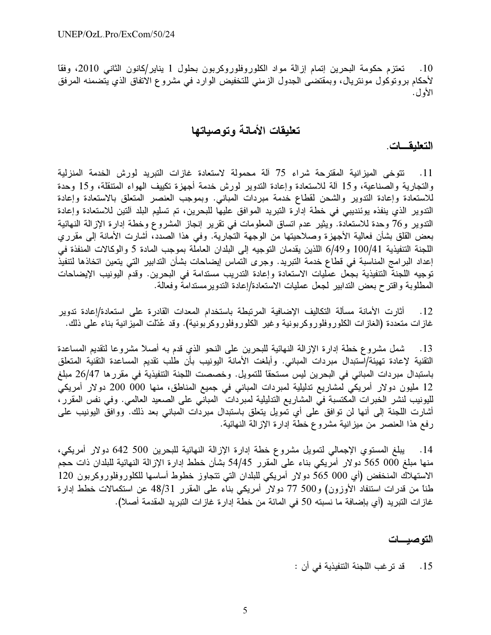تعتزم حكومة البحرين إتمام إزالة مواد الكلوروفلوروكربون بحلول 1 يناير/كانون الثانبي 2010، وفقاً  $\overline{0.10}$ لأحكام بروتوكول مونتريال، وبمقتضى الجدول الزمني للتخفيض الوارد في مشروع الاتفاق الذي يتضمنه المرفق الأول.

# تعليقات الأمانة وتوصباتها

التعليقـــات.

11. تتوخى الميزانية المقترحة شراء 75 آلة محمولة لاستعادة غازات التبريد لورش الخدمة المنزلية والتجارية والصناعية، و15 ألة للاستعادة وإعادة الندوير لورش خدمة أجهزة تكييف الهواء المتنقلة، و15 وحدة للاستعادة وإعادة التدوير والشحن لقطاع خدمة مبردات المباني. وبموجب العنصر المتعلق بالاستعادة وإعادة التدوير الذي ينفذه يوئنديبي في خطة إدارة التبريد الموافق عليها للبحرين، تم تسليم البلد ألتين للاستعادة وإعادة الندوير و76 وحدة للاستعادة. ويثير عدم انساق المعلومات في تقرير إنجاز المشروع وخطة إدارة الإزالة النهائية بعض القلق بشأن فعالية الأجهزة وصلاحيتها من الوجهة التجارية. وفـي هذا الصدد، أشارت الأمانة إلـي مقرري اللجنة التنفيذية 100/41 و6/49 اللذين يقدمان التوجيه إلى البلدان العاملة بموجب المادة 5 والوكالات المنفذة في إعداد البرامج المناسبة في قطاع خدمة التبريد. وجرى التماس إيضاحات بشأن التدابير التي يتعين اتخاذها لتتفيذ توجيه اللجنة التنفيذية بجعل عمليات الاستعادة وإعادة التدريب مستدامة في البحرين. وقدم اليونيب الإيضاحات المطلوبة واقترح بعض التدابير لمجعل عمليات الاستعادة/إعادة التدويرمستدامة وفعالة.

أثارت الأمانة مسألة التكاليف الإضافية المرتبطة باستخدام المعدات القادرة على استعادة/إعادة تدوير  $.12$ غازات متعددة (الغازات الكلوروفلوروكربونية وغير الكلوروفلوروكربونية). وقد عُدّلت الميزانية بناء على ذلك.

شمل مشروع خطة إدارة الإزالة النهائية للبحرين على النحو الذي قدم به أصلاً مشروعا لتقديم المساعدة  $\overline{13}$ التقنية لإعادة تهيئة/استبدال مبردات المباني. وأبلغت الأمانة اليونيب بأن طلب تقديم المساعدة التقنية المتعلق باستبدال مبردات المباني في البحرين ليس مستحقًا للتمويل. وخصصت اللجنة التنفيذية في مقررها 26/47 مبلغ 12 مليون دولار أمريكي لمشاريع تدليلية لمبردات المباني في جميع المناطق، منها 000 000 دولار أمريكي لليونيب لنشر الخبرات المكتسبة في المشاريع التدليلية لمبردات المباني على الصعيد العالمي. وفي نفس المقرر، أشارت اللجنة إلى أنها لن توافق على أي تمويل يتعلق باستبدال مبردات المباني بعد ذلك. ووافق اليونيب على رفع هذا العنصر من ميزانية مشروع خطة إدارة الإزالة النهائية.

14. يبلغ المستوى الإجمالي لتمويل مشروع خطة إدارة الإزالة النهائية للبحرين 500 642 دولار أمريكي، منها مبلغ 000 565 دولار أمريكي بناء على المقرر 54/45 بشأن خطط إدارة الإزالة النهائية للبلدان ذات حجم الاستهلاك المنخفض (أي 000 565 دولار أمريكي للبلدان التي نتجاوز خطوط أساسها للكلوروفلوروكربون 120 طناً من قدرات استنفاد الأوزون) و500 77 دولار أمريكي بناء على المقرر 48/31 عن استكمالات خطط إدارة غاز ات التبريد (أي بإضـافة ما نسبته 50 في المائة من خطة إدار ة غاز ات التبريد المقدمة أصـلا).

## التوصيسات

15 . قد تر غب اللجنة التنفيذية في أن :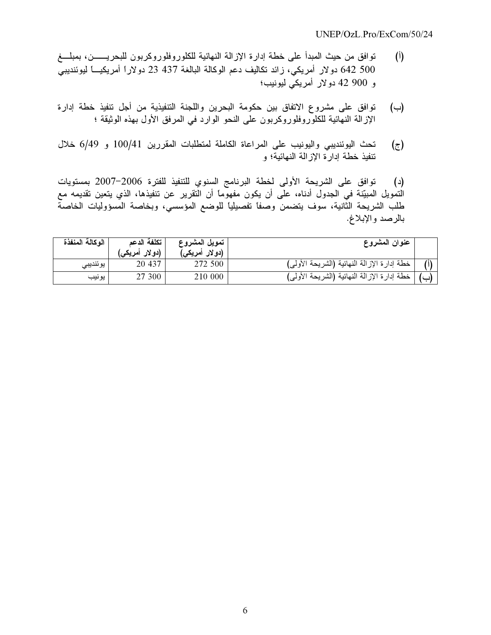- (أ) توافق من حيث المبدأ على خطة إدارة الإزالة النهائية للكلوروفلوروكربون للبحريــــــن، بمبلــــغ 500 542 دولار أمريكي، زائد تكاليف دعم الوكالة البالغة 437 23 دولاراً أمريكيــــاً ليوئنديبـي و 900 42 دولار أمريكي ليونيب؛
- (ب) توافق على مشروع الاتفاق بين حكومة البحرين واللجنة التنفيذية من أجل تنفيذ خطة إدارة الإزالة النهائية للكلوروفلوروكربون على النحو الوارد في المرفق الأول بهذه الوثيقة ؛
- ج) تحث اليوئنديبي واليونيب على المراعاة الكاملة لمنطلبات المقررين 100/41 و 6/49 خلال ننفيذ خطة إدارة الإزالة النهائية؛ و

(د) توافق على الشريحة الأولى لخطة البرنامج السنوي للتنفيذ للفترة 2006–2007 بمستويات التمويل المبيّنة في الجدول أدناه، على أن يكون مفهوماً أن التقرير عن تنفيذها، الذي يتعين تقديمه مع طلب الشريحة الثانية، سوف يتضمن وصفاً تفصيلياً للوضع المؤسسي، وبخاصة المسؤوليات الخاصة بالرصد والإبلاغ.

| الوكالة المنفذة | تكلفة الدعم<br>(دو لار أمريكي) | تمويل المشروع<br>(دو لار أمريك <i>ي</i> ) | عنوان المشروع                               |  |
|-----------------|--------------------------------|-------------------------------------------|---------------------------------------------|--|
| يو ئنديبي       | 20 437                         | 272 500                                   | خطة إدارة الإزالة النهائية (الشريحة الأولى) |  |
| يونيب           | 27 300                         | 210 000                                   | خطة إدارة الإزالة النهائية (الشريحة الأولى) |  |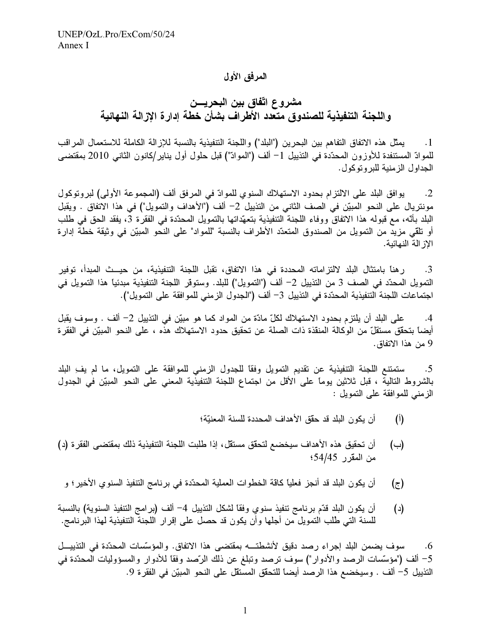## المرفق الأول

مشروع اتّفاق بين البحريـــن واللجنة التنفيذية للصندوق متعدد الأطراف بشأن خطة إدارة الإزالة النهائية

يمثِّل هذه الاتفاق النفاهم بين البحرين ("البلد") واللجنة التنفيذية بالنسبة للإزالة الكاملة للاستعمال المراقب  $\cdot$  1 للموادّ المستنفدة للأوزون المحدّدة في التذييل 1– ألف ("الموادّ") قبل حلول أول يناير/كانون الثانـي 2010 بمقتضـي الجداول الزمنية للبروتوكول.

يوافق البلد على الالتزام بحدود الاستهلاك السنوي للموادّ في المرفق ألف (المجموعة الأولى) لبروتوكول  $\cdot$ .2 مونتريال على النحو المبيّن في الصف الثاني من التذييل 2– ألف ("الأهداف والتمويل") في هذا الاتفاق . ويقبل البلد بأنّه، مع قبوله هذا الاتفاق ووفاء اللجنة التنفيذية بتعهّداتها بالتمويل المحدّدة في الفقرة 3، يفقد الحق في طلب أو تلقى مزيد من التمويل من الصندوق المتعدّد الأطراف بالنسبة "للمواد" على النحو المبيّن في وثيقة خطة إدارة الاز الة النهائية.

ر هنا بامتثال البلد لالتزاماته المحددة في هذا الاتفاق، تقبل اللجنة التنفيذية، من حيــث المبدأ، توفير  $\cdot$ 3 التمويل المحدّد في الصف 3 من التذييل 2– ألف ("التمويل") للبلد. وستوقر اللجنة التنفيذية مبدئياً هذا التمويل في اجتماعات اللجنة التنفيذية المحدّدة في التذييل 3– ألف ("الجدول الزمني للموافقة على التمويل").

على البلد أن يلتزم بحدود الاستهلاك لكلِّ مادَّة من المواد كما هو مبيِّن في التذييل 2– ألف . وسوف يقبل  $.4$ أيضاً بتحقِّق مستقلٍّ من الوكالة المنقذة ذات الصلة عن تحقيق حدود الاستهلاك هذه ، على النحو المبيّن في الفقر ة 9 من هذا الاتفاق.

ستمتنع اللجنة التنفيذية عن تقديم التمويل وفقًا للجدول الزمني للموافقة على التمويل، ما لم يف البلد .5 بالشروط التالية ، قبل ثلاثين يوماً على الأقل من اجتماع اللجنة التنفيذية المعني على النحو المبيّن في الجدول الزمني للموافقة على التمويل :

- أن يكون البلد قد حقَّق الأهداف المحددة للسنة المعنيَّة؛  $\binom{1}{1}$
- أن تحقيق هذه الأهداف سيخضع لتحقق مستقل، إذا طلبت اللجنة التنفيذية ذلك بمقتضى الفقر ة (د)  $(\rightarrow)$ من المقرر 54/45؛
- أن يكون البلد قد أنجز فعلياً كاقة الخطوات العملية المحدّدة في برنامج التنفيذ السنوى الأخير ؛ و  $(\tau)$
- أن يكون البلد قدَّم برنامج نتفيذ سنوي وفقًا لشكل النذييل 4– ألف (برامج النتفيذ السنوية) بالنسبة  $(\text{c})$ للسنة التي طُلب التمويل من أجلها وأن يكون قد حصل على إقرار اللجنة التنفيذية لهذا البرنامج.

سوف يضمن البلد إجراء رصد دقيق لأنشطتـــه بمقتضى هذا الاتفاق. والمؤسَّسات المحدّدة في التذييـــل  $.6$ 5– ألف ("مؤسَّسات الرصد والأدوار") سوف ترصد وتبلغ عن ذلك الرَّصد وفقاً للأدوار والمسؤوليات المحدّدة في النّذييل 5– ألف . وسيخضع هذا الرصد أيضاً للتحقّق المستقل على النحو المبيّن في الفقر ة 9.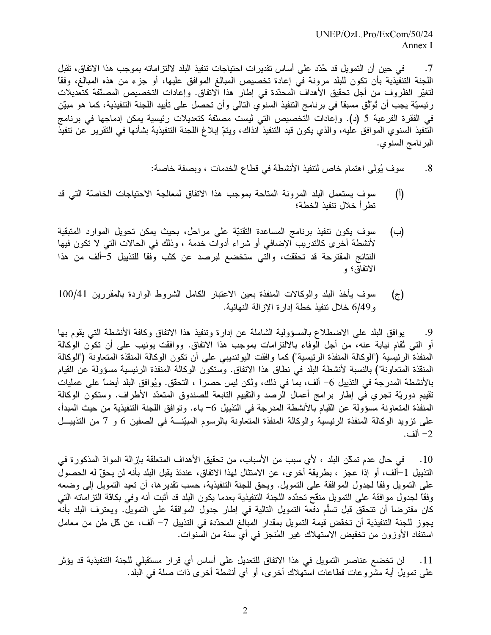في حين أن النمويل قد حُدّد على أساس نقدير ات احتياجات نتفيذ البلد لالتز اماته بموجب هذا الاتفاق، تقبل  $.7$ اللجنة التنفيذية بأن تكون للبلد مرونة في إعادة تخصيص المبالغ الموافق عليها، أو جزء من هذه المبالغ، وفقاً لتغيّر الظروف من أجل تحقيق الأهداف المحدّدة في إطار هذا الاتفاق. وإعادات التخصيص المصنّفة كتعديلات رئيسيّة يجب أن تُوَتّق مسبقاً في برنامج التنفيذ السنوي النالي وأن تحصل على تأييد اللجنة التنفيذية، كما هو مبيّن في الفقرة الفرعية 5 (د). وإعادات التخصيص التي ليست مصنّفة كتعديلات رئيسية يمكن إدماجها في برنامج التنفيذ السنوي الموافق عليه، والذي يكون قيد التنفيذ آنذاك، ويتمّ إبلاغ اللجنة التنفيذية بشأنها فـي التقرير عن تنفيذ البرنامج السنوي.

- سوف يُولِّي اهتمام خاص لتنفيذ الأنشطة في قطاع الخدمات ، وبصفة خاصة:  $.8$
- $(1)$ سوف يستعمل البلد المرونة المتاحة بموجب هذا الاتفاق لمعالجة الاحتياجات الخاصّة التي قد تطر أخلال تنفيذ الخطة؛
- سوف يكون نتفيذ برنامج المساعدة التقنيّة على مراحل، بحيث يمكن تحويل الموارد المتبقية (←) لأنشطة أخرى كالتدريب الإضافي أو شراء أدوات خدمة ، وذلك في الحالات التي لا تكون فيها النتائج المقترحة قد تحققت، والتي ستخضع لبرصد عن كثب وفقًا للتذييل 5–ألف من هذا الاتفاق؛ و
- سوف يأخذ البلد والوكالات المنفذة بعين الاعتبار الكامل الشروط الواردة بالمقررين 100/41  $(\bar{z})$ و 6/49 خلال تنفيذ خطة إدار ة الإز الة النهائية.

يوافق البلد على الاضطلاع بالمسؤولية الشاملة عن إدارة وتنفيذ هذا الاتفاق وكافة الأنشطة التبي يقوم بـها .9 أو التي ثقام نيابة عنه، من أجل الوفاء بالالتزامات بموجب هذا الاتفاق. ووافقت يونيب على أن تكون الوكالة المنفذة الرئيسية ("الوكالة المنفذة الرئيسية") كما وافقت اليوئنديبي على أن تكون الوكالة المنقذة المتعاونة ("الوكالة المنقذة المتعاونة") بالنسبة لأنشطة البلد في نطاق هذا الاتفاق. وستكون الوكالة المنفذة الرئيسية مسؤولة عن القيام بالأنشطة المدرجة في التذييل 6– ألف، بما في ذلك، ولكن ليس حصراً ، التحقُّق. ويُوافق البلد أيضاً على عمليات نقييم دوريّة تجري في إطار برامج أعمال الرصد والتقييم التابعة للصندوق المتعدّد الأطراف. وستكون الوكالة المنفذة المتعاونة مسؤولة عن القيام بالأنشطة المدرجة في التذييل 6– باء. وتوافق اللجنة التنفيذية من حيث المبدأ، على نزويد الوكالة المنفذة الرئيسية والوكالة المنفذة المتعاونة بالرسوم المبيّنـــة في الصفين 6 و 7 من التذييــل 2– ألف.

10 . في حال عدم تمكّن البلد ، لأي سبب من الأسباب، من تحقيق الأهداف المتعلّقة بإز الة الموادّ المذكور ة في التذييل 1–ألف، أو إذا عجز ، بطريقة أخر ي، عن الامتثال لهذا الاتفاق، عندئذ يقبل البلد بأنه لن يحقّ له الحصول على التمويل وفقًا لجدول الموافقة على التمويل. ويحق للجنة التنفيذية، حسب تقدير ها، أن تعيد التمويل إلى وضعه وفقًا لجدول موافقة على التمويل منقح تحدَّده اللجنة التنفيذية بعدما يكون البلد قد أثبت أنه وفي بكاقة النز اماته التي كان مفترضاً أن نتحقِّق قبل تسلُّم دفعة التمويل التالية في إطار جدول الموافقة على التمويل. ويعترف البلد بأنه يجوز للجنة التنفيذية أن تخقَّض قيمة التمويل بمقدار المبالغ المحدَّدة في التذييل 7– ألف، عن كلَّ طن من معامل استنفاد الأوزون من تخفيض الاستهلاك غير المُنجز في أي سنة من السنوات.

لن تخضع عناصر التمويل في هذا الاتفاق للتعديل على أساس أي قرار مستقبلي للجنة التنفيذية قد يؤثر  $.11$ على نمويل أية مشروعات قطاعات استهلاك أخرى، أو أي أنشطة أخرى ذات صلة في البلد.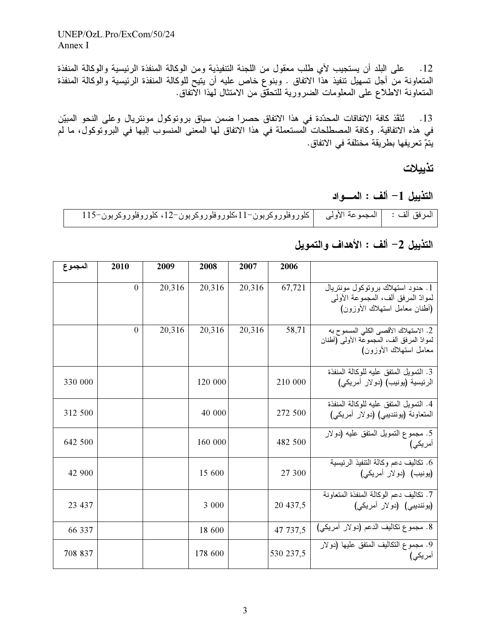UNEP/OzL.Pro/ExCom/50/24 Annex I

12. على البلد أن يستجيب لأي طلب معقول من اللجنة التنفيذية ومن الوكالة المنفذة الرئيسية والوكالة المنفذة المتعاونة من أجل تسهيل تنفيذ هذا الاتفاق . وبنوع خاص عليه أن يتيح للوكالة المنفذة الرئيسية والوكالة المنفذة المتعاونة الاطلاع على المعلومات الضرورية للتحقُّق من الامتثال لمهذا الآتفاق.

تُنَقِّذ كافة الاتفاقات المحدّدة في هذا الاتفاق حصراً ضمن سياق بروتوكول مونتريال وعلى النحو المبيّن  $.13$ في هذه الاتفاقية. وكافة المصطلحات المستعملة في هذا الاتفاق لها المعنى المنسوب إليها في البروتوكول، ما لم يتمّ تعريفها بطريقة مختلفة في الاتفاق.

تذييلات

التذييل 1– ألف : المسواد

| المرفق ألف :     المجموعة الأولى      كلوروفلوروكربون−11،كلوروفلوروكربون−12، كلوروفلوروكربون−115 |  |  |
|--------------------------------------------------------------------------------------------------|--|--|
|--------------------------------------------------------------------------------------------------|--|--|

# التذييل 2- ألف : الأهداف والتمويل

| المجموع | 2010     | 2009   | 2008    | 2007   | 2006      |                                                                                                              |
|---------|----------|--------|---------|--------|-----------|--------------------------------------------------------------------------------------------------------------|
|         | $\theta$ | 20,316 | 20,316  | 20,316 | 67,721    | 1. حدود استهلاك بروتوكول مونتريال<br>لموادّ المرفق ألف، المجموعة الأولى<br>(أطنان معامل استهلاك الأوزون)     |
|         | $\theta$ | 20,316 | 20,316  | 20,316 | 58,71     | 2. الاستهلاك الأقصىي الكلي المسموح به<br>لموادّ المرفق ألف، المجموعة الأولى (أطنان<br>معامل استهلاك الأوزون) |
| 330 000 |          |        | 120 000 |        | 210 000   | 3. التمويل المتفق عليه للوكالة المنفذة<br>الرئيسية (يونيب) (دولار أمريكي)                                    |
| 312 500 |          |        | 40 000  |        | 272 500   | 4. التمويل المتفق عليه للوكالة المنفذة<br>المتعاونة (يوئنديبي) (دولار أمريكي)                                |
| 642 500 |          |        | 160 000 |        | 482 500   | 5. مجموع النمويل المنفق عليه (دولار<br>أمريكي)                                                               |
| 42 900  |          |        | 15 600  |        | 27 300    | 6. تكاليف دعم وكالة التنفيذ الرئيسية<br>(یونیب) (دولار أمریکی)                                               |
| 23 437  |          |        | 3 000   |        | 20 437,5  | 7. تكاليف دعم الوكالة المنفذة المتعاونة<br>(يوئنديبي) (دولار أمريكي)                                         |
| 66 337  |          |        | 18 600  |        | 47 737,5  | 8. مجموع تكاليف الدعم (دولار أمريكي)                                                                         |
| 708 837 |          |        | 178 600 |        | 530 237,5 | 9. مجموع التكاليف المتفق عليها (دولار<br>امریکی)                                                             |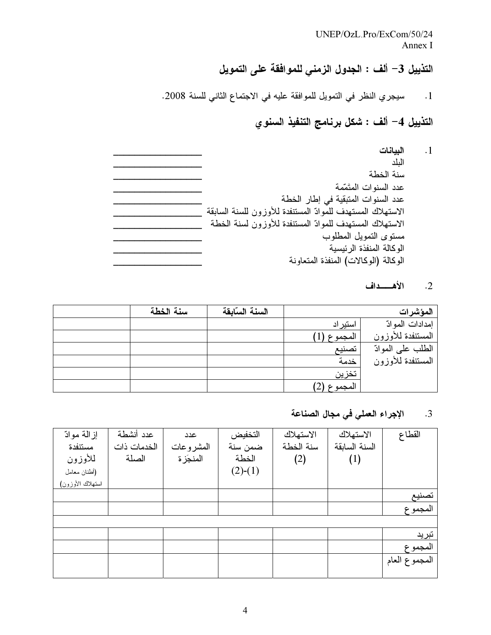UNEP/OzL.Pro/ExCom/50/24 Annex I

# التذييل 3– ألف : الجدول الزمني للموافقة على التمويل

1. سيجري النظر في التمويل للموافقة عليه في الاجتماع الثاني للسنة 2008.

# التذييل 4– ألف : شكل برنامج التنفيذ السنوي

| الببانات                                                   |  |
|------------------------------------------------------------|--|
| البلد                                                      |  |
| سنة الخطة                                                  |  |
| عدد السنوات المتَمّمة                                      |  |
| عدد السنوات المتبقية في إطار الخطة                         |  |
| الاستهلاك المستهدف للموادّ المستنفدة للأوزون للسنة السابقة |  |
| الاستهلاك المستهدف للموادّ المستنفدة للأوزون لسنة الخطة    |  |
| مستوى التمويل المطلوب                                      |  |
| الوكالة المنفذة الر ئيسية                                  |  |
| الوكالة (الوكالات) المنفذة المتعاونة                       |  |

## 2. الأهـــداف

 $\cdot$ 1

| سنة الخطة | السنة السابقة |           | المؤشرات          |
|-----------|---------------|-----------|-------------------|
|           |               | استير اد  | إمدادات الموادّ   |
|           |               | المجموع   | المستنفدة للأوزون |
|           |               | تصنيع     | الطلب على الموادّ |
|           |               | خدمة      | المستنفدة للأوزون |
|           |               | تخزين     |                   |
|           |               | المجموع ا |                   |

#### الإجراء العملي في مجال الصناعة  $\cdot$ 3

| إز المة موادّ    | عدد أنشطة   | عدد       | التخفيض   | الاستهلاك | الاستهلاك     | القطاع        |
|------------------|-------------|-----------|-----------|-----------|---------------|---------------|
| مستنفدة          | الخدمات ذات | المشروعات | ضمن سنة   | سنة الخطة | السنة السابقة |               |
| للأوزون          | الصلة       | المنجَز ة | الخطة     | (2)       | (1)           |               |
| (أطنان معامل     |             |           | $(2)-(1)$ |           |               |               |
| استهلاك الأوزون) |             |           |           |           |               |               |
|                  |             |           |           |           |               | تصنيع         |
|                  |             |           |           |           |               | المجموع       |
|                  |             |           |           |           |               |               |
|                  |             |           |           |           |               | تبرید         |
|                  |             |           |           |           |               | المجموع       |
|                  |             |           |           |           |               | المجموع العام |
|                  |             |           |           |           |               |               |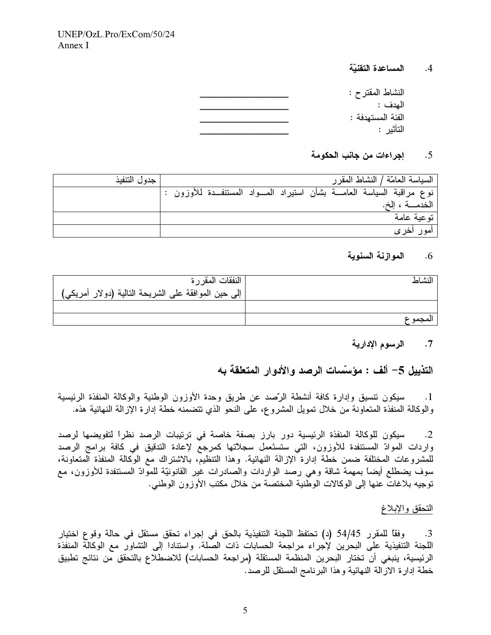المساعدة التقنبّة  $.4$ 

| النشاط المقترح :  |
|-------------------|
| المدف :           |
| الفئة المستهدفة : |
| التأثير :         |

#### $.5$ إجراءات من جانب الحكومة

| جدول التنفيذ |                                                                           |  | السياسة العامّة / النشاط المقر ر |
|--------------|---------------------------------------------------------------------------|--|----------------------------------|
|              | نوع مراقبة السياسة العامـــة بشأن استيراد المـــواد المستنفــدة للأوزون : |  |                                  |
|              |                                                                           |  | الخدمـــة ، الخ.                 |
|              |                                                                           |  | تو عية عامة                      |
|              |                                                                           |  | امور اخر ی                       |

#### الموازنة السنوية  $.6$

| النشاط  | النفقات المقرر ة                                    |
|---------|-----------------------------------------------------|
|         | إلى حين الموافقة على الشريحة التالية (دولار أمريكي) |
|         |                                                     |
| المحموع |                                                     |

الرسوم الإدارية  $\cdot$  7

التذبيل 5– ألف : مؤسَّسات الرصد والأدوار المتعلقة به

سيكون نتسيق وإدارة كافة أنشطة الرَّصد عن طريق وحدة الأوزون الوطنية والوكالة المنفذة الرئيسية  $\cdot$ 1 والوكالة المنفذة المتعاونة من خلال تمويل المشروع، على النحو الذي تتضمنه خطة إدارة الإزالة النهائية هذه.

سيكون للوكالة المنفذة الرئيسية دور بارز بصفة خاصة في ترتيبات الرصد نظراً لتفويضها لرصد  $\cdot$ .2 واردات الموادّ المستنفدة للأوزون، التي ستستَعمل سجلاتها كمرجعٌ لإعادة التدقيق في كافة برامج الرصد للمشروعات المختلفة ضمن خطة إدارة الإزالة النهائية. وهذا التنظيم، بالاشتراك مع الوكالة المنفذة المتعاونة، سوف يضطلع أيضاً بمهمة شاقة وهي رصد الواردات والصادرات غير القانونيّة للموادّ المستنفدة للأوزون، مع توجيه بلاغات عنها إلى الوكالات الوطنية المختصة من خلال مكتب الأوزون الوطني.

## التحقق والإبلاغ

وفقًا للمقرر 54/45 (د) تحتفظ اللجنة التنفيذية بالحق في إجراء تحقق مستقل في حالة وقوع اختيار  $\cdot$ 3 اللجنة التنفيذية على البحرين لإجراء مراجعة الحسابات ذات الصَّلة. واستنادا إلى التشاور مع الوكالَّة المنفذة الرئيسية، ينبغي أن تختار البحرين المنظمة المستقلة (مراجعة الحسابات) للاضطلاع بالتحقق من نتائج تطبيق خطة إدارة الازالة النهائية وهذا البرنامج المستقل للرصد.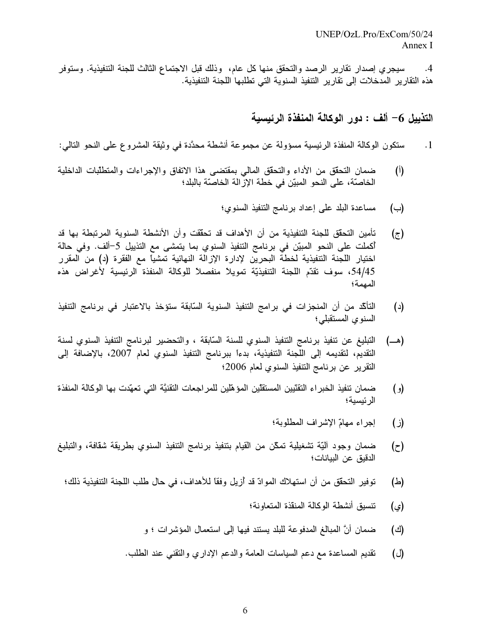سيجري إصدار نقارير الرصد والتحقق منها كل عام، وذلك قبل الاجتماع الثالث للجنة التنفيذية. وستوفر  $.4$ هذه التقارير المدخلات إلى تقارير التنفيذ السنوية التي تطلبها اللجنة التنفيذية.

التذييل 6– ألف : دور الوكالة المنفذة الرئيسية

- ستكون الوكالة المنفذة الرئيسية مسؤولة عن مجموعة أنشطة محدَّدة في وثيقة المشروع على النحو التالي:  $\cdot$ 1
- ضمان التحقق من الأداء والتحقق المالي بمقتضىي هذا الاتفاق والإجراءات والمتطلبات الداخلية  $(1)$ الخاصَّة، على النحو المبيّن في خطة الإزالة الخاصَّة بالبلد؛
	- مساعدة البلد على إعداد برنامج التنفيذ السنوى؛ (ب)
- تأمين التحقُّق للجنة التنفيذية من أن الأهداف قد تحقَّقت وأن الأنشطة السنوية المرتبطة بها قد  $(\tau)$ أكملت على النحو المبيّن في برنامج التنفيذ السنوي بما يتمشى مع التذييل 5–ألف. وفي حالة اختيار اللجنة التنفيذية لخطة البحرين لإدارة الإزالة النهائية تمشياً مع الفقرة (د) من المقرر 54/45، سوف تقدّم اللجنة التنفيذيّة تمويلاً منفصلاً للوكالة المنفذة الرئيسية لأغراض هذه المهمة؛
- التأكّد من أن المنجزات في برامج التنفيذ السنوية السّابقة ستؤخذ بالاعتبار في برنامج التنفيذ (د) السنوى المستقبلي؛
- التبليغ عن تنفيذ برنامج التنفيذ السنوي للسنة السّابقة ، والتحضير لبرنامج التنفيذ السنوي لسنة (هـــ) التقديم، لتقديمه إلى اللجنة التنفيذية، بدءاً ببرنامج التنفيذ السنوى لعام 2007، بالإضافة إلى النقرير عن برنامج التنفيذ السنوى لعام 2006؛
- ضمان تنفيذ الخبر اء التقنّيين المستقلّين المؤهّلين للمر اجعات التقنيَّة التي تعهّدت بها الوكالة المنفذة  $\left( \circ \right)$ الر ئېسبة؛
	- إجراء مهامّ الإشراف المطلوبة؛ (ز)
- ضمان وجود آليّة تشغيلية تمكّن من القيام بتنفيذ برنامج التنفيذ السنوي بطريقة شقافة، والتبليغ  $(z)$ الدقيق عن البيانات؛
- توفير التحقُّق من أن استهلاك الموادِّ قد أزيل وفقًا للأهداف، في حال طلب اللجنة التنفيذية ذلك؛ (스)
	- تنسيق أنشطة الوكالة المنقذة المتعاونة؛ (ي)
	- ضمان أنَّ المبالغ المدفوعة للبلد يستند فيها إلى استعمال المؤشرات ؛ و (ජ)
	- نقديم المساعدة مع دعم السياسات العامة والدعم الإداري والنقنبي عند الطلب.  $(\cup)$